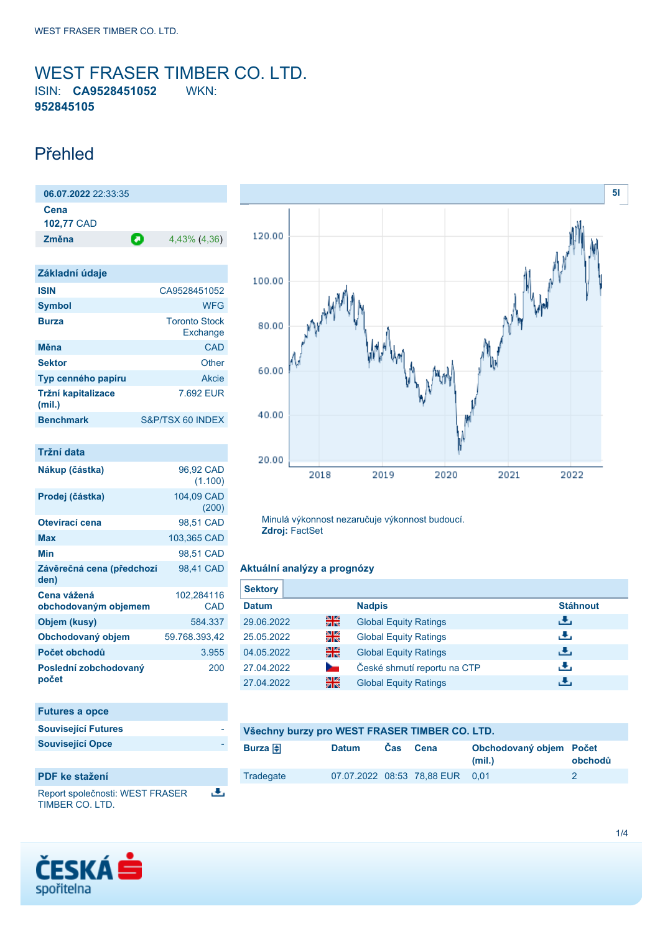## <span id="page-0-0"></span>WEST FRASER TIMBER CO. LTD. ISIN: **CA9528451052** WKN: **952845105**

# Přehled

**06.07.2022** 22:33:35 **Cena 102,77** CAD **Změna** 4,43% (4,36)

| Základní údaje               |                                  |
|------------------------------|----------------------------------|
| <b>ISIN</b>                  | CA9528451052                     |
| <b>Symbol</b>                | <b>WFG</b>                       |
| <b>Burza</b>                 | <b>Toronto Stock</b><br>Exchange |
| Měna                         | CAD                              |
| <b>Sektor</b>                | Other                            |
| Typ cenného papíru           | Akcie                            |
| Tržní kapitalizace<br>(mil.) | 7.692 EUR                        |
| <b>Benchmark</b>             | S&P/TSX 60 INDEX                 |

| Tržní data                          |                      |
|-------------------------------------|----------------------|
| Nákup (částka)                      | 96,92 CAD<br>(1.100) |
| Prodej (částka)                     | 104,09 CAD<br>(200)  |
| Otevírací cena                      | 98,51 CAD            |
| Max                                 | 103,365 CAD          |
| Min                                 | 98,51 CAD            |
| Závěrečná cena (předchozí<br>den)   | 98,41 CAD            |
| Cena vážená<br>obchodovaným objemem | 102,284116<br>CAD    |
| Objem (kusy)                        | 584.337              |
| Obchodovaný objem                   | 59.768.393,42        |
| Počet obchodů                       | 3.955                |
| Poslední zobchodovaný<br>počet      | 200                  |



### **PDF ke stažení**

Report společnosti: WEST FRASER رائي TIMBER CO. LTD.



Minulá výkonnost nezaručuje výkonnost budoucí. **Zdroj:** FactSet

### **Aktuální analýzy a prognózy**

| <b>Sektory</b> |        |                              |                 |
|----------------|--------|------------------------------|-----------------|
| <b>Datum</b>   |        | <b>Nadpis</b>                | <b>Stáhnout</b> |
| 29.06.2022     | 을중     | <b>Global Equity Ratings</b> | رالى            |
| 25.05.2022     | 쬚碱     | <b>Global Equity Ratings</b> | رالى            |
| 04.05.2022     | 을중     | <b>Global Equity Ratings</b> | رالى            |
| 27.04.2022     | $\sim$ | České shrnutí reportu na CTP | رنان            |
| 27.04.2022     | 을중     | <b>Global Equity Ratings</b> | æ,              |

| Všechny burzy pro WEST FRASER TIMBER CO. LTD. |       |          |                                 |                                   |         |  |
|-----------------------------------------------|-------|----------|---------------------------------|-----------------------------------|---------|--|
| Burza $\bigoplus$                             | Datum | Cas Cena |                                 | Obchodovaný objem Počet<br>(mil.) | obchodů |  |
| Tradegate                                     |       |          | 07.07.2022 08:53 78.88 EUR 0.01 |                                   |         |  |

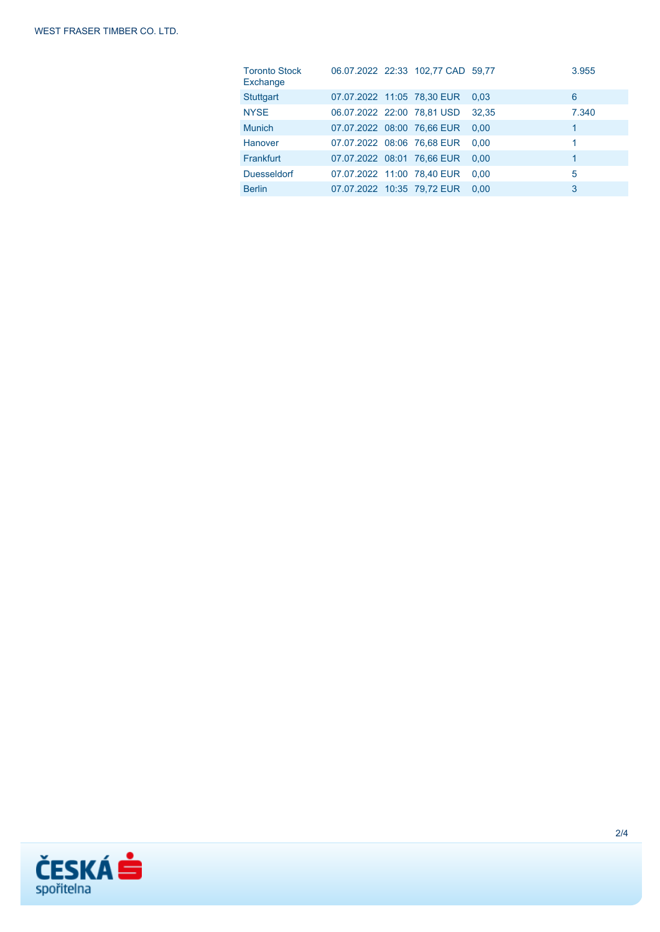| <b>Toronto Stock</b><br>Exchange |                            | 06.07.2022 22:33 102.77 CAD 59.77 |       | 3.955 |
|----------------------------------|----------------------------|-----------------------------------|-------|-------|
| <b>Stuttgart</b>                 |                            | 07.07.2022 11:05 78,30 EUR        | 0.03  | 6     |
| <b>NYSE</b>                      | 06.07.2022 22:00 78,81 USD |                                   | 32.35 | 7.340 |
| <b>Munich</b>                    | 07.07.2022 08:00 76,66 EUR |                                   | 0.00  | 1     |
| Hanover                          | 07.07.2022 08:06 76,68 EUR |                                   | 0.00  | 1     |
| Frankfurt                        | 07.07.2022 08:01 76,66 EUR |                                   | 0.00  | 1     |
| <b>Duesseldorf</b>               | 07.07.2022 11:00 78,40 EUR |                                   | 0.00  | 5     |
| <b>Berlin</b>                    | 07.07.2022 10:35 79.72 EUR |                                   | 0.00  | 3     |

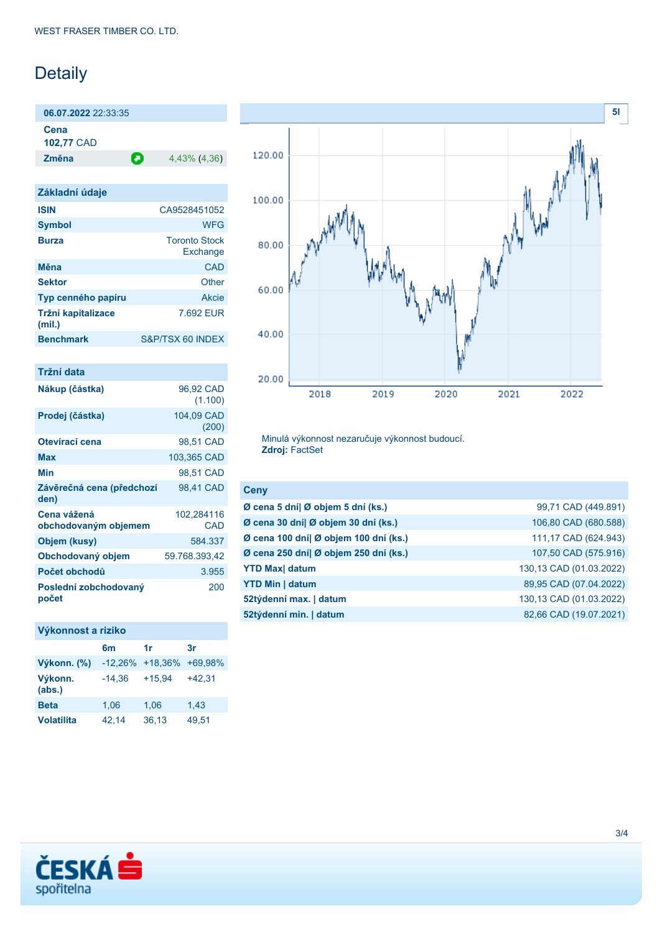# Detaily

**06.07.2022** 22:33:35

**Cena 102,77** CAD

**Změna** 4,43% (4,36)

| CA9528451052                     |
|----------------------------------|
| <b>WFG</b>                       |
| <b>Toronto Stock</b><br>Exchange |
| CAD                              |
| Other                            |
| Akcie                            |
| 7.692 EUR                        |
| S&P/TSX 60 INDEX                 |
|                                  |

| Tržní data                          |                      |
|-------------------------------------|----------------------|
| Nákup (částka)                      | 96,92 CAD<br>(1.100) |
| Prodej (částka)                     | 104,09 CAD<br>(200)  |
| Otevírací cena                      | 98.51 CAD            |
| Max                                 | 103,365 CAD          |
| Min                                 | 98.51 CAD            |
| Závěrečná cena (předchozí<br>den)   | 98,41 CAD            |
| Cena vážená<br>obchodovaným objemem | 102,284116<br>CAD    |
| Objem (kusy)                        | 584.337              |
| Obchodovaný objem                   | 59.768.393,42        |
| Počet obchodů                       | 3.955                |
| Poslední zobchodovaný<br>počet      | 200                  |

## **Výkonnost a riziko**

|                   | 6 <sub>m</sub>      | 1r       | 3r       |
|-------------------|---------------------|----------|----------|
| Výkonn. (%)       | $-12,26\% +18,36\%$ |          | +69,98%  |
| Výkonn.<br>(abs.) | $-14,36$            | $+15.94$ | $+42.31$ |
| <b>Beta</b>       | 1,06                | 1,06     | 1,43     |
| <b>Volatilita</b> | 42,14               | 36,13    | 49,51    |



Minulá výkonnost nezaručuje výkonnost budoucí. **Zdroj:** FactSet

| <b>Ceny</b>                           |                         |
|---------------------------------------|-------------------------|
| Ø cena 5 dní  Ø objem 5 dní (ks.)     | 99,71 CAD (449.891)     |
| Ø cena 30 dní  Ø objem 30 dní (ks.)   | 106,80 CAD (680.588)    |
| Ø cena 100 dní  Ø objem 100 dní (ks.) | 111,17 CAD (624.943)    |
| Ø cena 250 dní  Ø objem 250 dní (ks.) | 107,50 CAD (575.916)    |
| <b>YTD Max</b> datum                  | 130,13 CAD (01.03.2022) |
| <b>YTD Min   datum</b>                | 89,95 CAD (07.04.2022)  |
| 52týdenní max.   datum                | 130,13 CAD (01.03.2022) |
| 52týdenní min.   datum                | 82,66 CAD (19.07.2021)  |